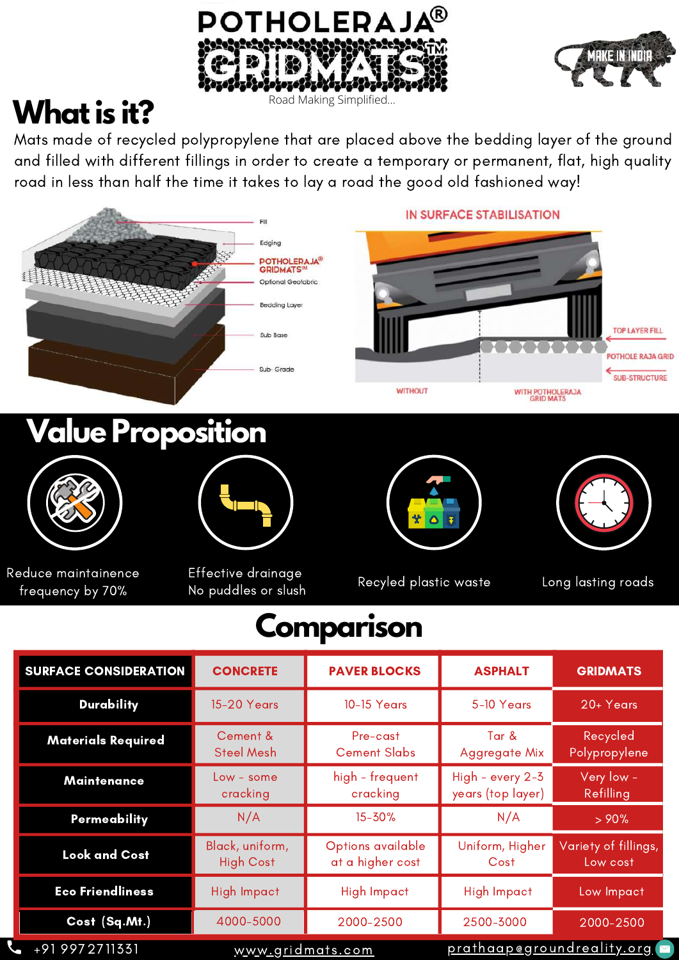



## **Whatis it?**

Mats made of recycled polypropylene that are placed above the bedding layer of the ground and filled with different fillings in order to create a temporary or permanent, flat, high quality road in less than half the time it takes to lay a road the good old fashioned way!



 $N/A$   $>90%$ Uniform, Higher **Cost** Variety of fillings, Low cost Eco Friendliness High Impact High Impact High Impact High Impact Low Impact +91 9972711331 Permeability N/A 15-30% Look and Cost Black, uniform, High Cost Options available at a higher cost **Cost (Sq.Mt.)** 4000-5000 2000-2500 2500-3000 2000-2500

[www.gridmats.com](http://www.gridmats.com/)

[prathaap@groundreality.org](http://groundreality.org/)